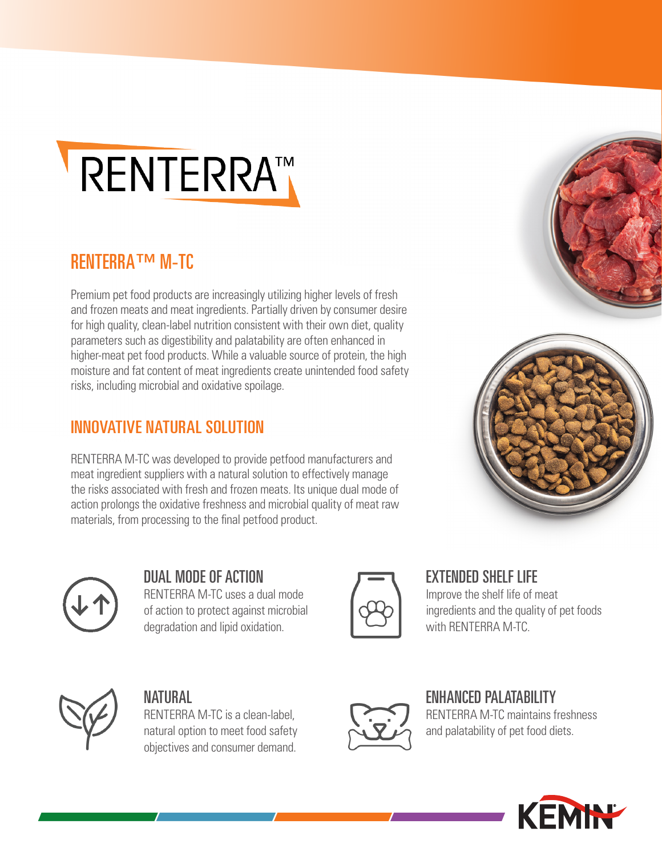

### RENTERRA™ M-TC

Premium pet food products are increasingly utilizing higher levels of fresh and frozen meats and meat ingredients. Partially driven by consumer desire for high quality, clean-label nutrition consistent with their own diet, quality parameters such as digestibility and palatability are often enhanced in higher-meat pet food products. While a valuable source of protein, the high moisture and fat content of meat ingredients create unintended food safety risks, including microbial and oxidative spoilage.

#### INNOVATIVE NATURAL SOLUTION

RENTERRA M-TC was developed to provide petfood manufacturers and meat ingredient suppliers with a natural solution to effectively manage the risks associated with fresh and frozen meats. Its unique dual mode of action prolongs the oxidative freshness and microbial quality of meat raw materials, from processing to the final petfood product.







DUAL MODE OF ACTION RENTERRA M-TC uses a dual mode of action to protect against microbial degradation and lipid oxidation.



EXTENDED SHELF LIFE Improve the shelf life of meat ingredients and the quality of pet foods



#### NATURAL

RENTERRA M-TC is a clean-label, natural option to meet food safety objectives and consumer demand.



# ENHANCED PALATABILITY

with RENTERRA M-TC.

RENTERRA M-TC maintains freshness and palatability of pet food diets.